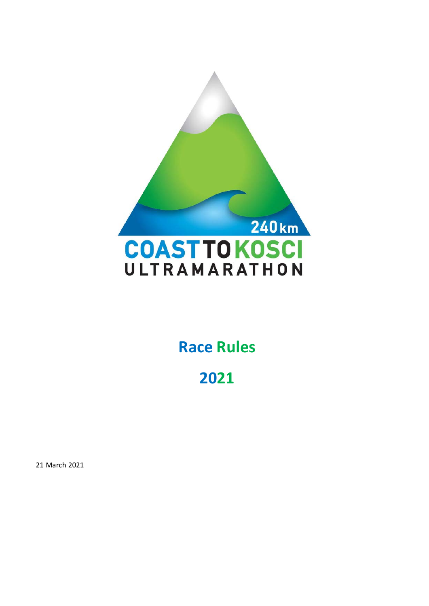

## **Race Rules**

## 

March 2021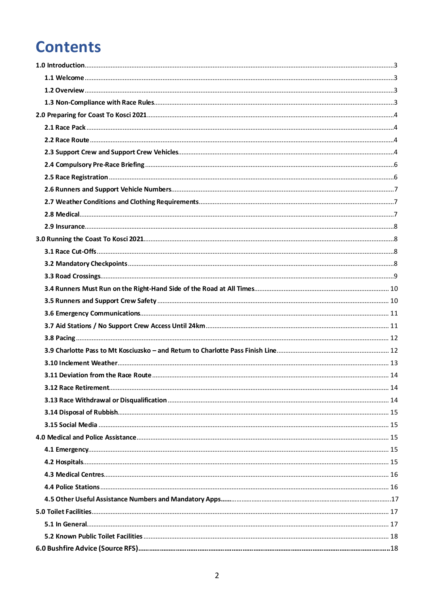## **Contents**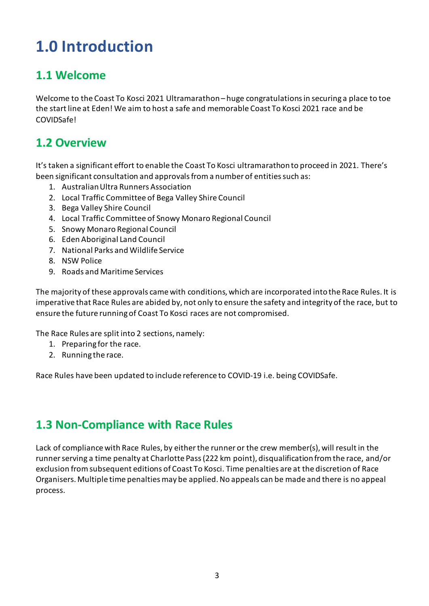# <span id="page-2-0"></span>**1.0 Introduction**

#### <span id="page-2-1"></span>**1.1 Welcome**

<span id="page-2-2"></span>Welcome to the Coast To Kosci 2021 Ultramarathon– huge congratulationsin securing a place to toe the start line at Eden! We aim to host a safe and memorable Coast To Kosci 2021 race and be COVIDSafe!

#### **1.2 Overview**

It's taken a significant effort to enable the Coast To Kosci ultramarathon to proceed in 2021. There's been significant consultation and approvals from a number of entities such as:

- 1. Australian Ultra Runners Association
- 2. Local Traffic Committee of Bega Valley Shire Council
- 3. Bega Valley Shire Council
- 4. Local Traffic Committee of Snowy Monaro Regional Council
- 5. Snowy Monaro Regional Council
- 6. Eden Aboriginal Land Council
- 7. National Parks and Wildlife Service
- 8. NSW Police
- 9. Roads and Maritime Services

The majority of these approvals came with conditions, which are incorporated into the Race Rules. It is imperative that Race Rules are abided by, not only to ensure the safety and integrity of the race, but to ensure the future running of Coast To Kosci races are not compromised.

The Race Rules are split into 2 sections, namely:

- 1. Preparing for the race.
- <span id="page-2-3"></span>2. Running the race.

Race Rules have been updated to include reference to COVID-19 i.e. being COVIDSafe.

#### **1.3 Non-Compliance with Race Rules**

Lack of compliance with Race Rules, by either the runner or the crew member(s), will result in the runner serving a time penalty at Charlotte Pass (222 km point), disqualification from the race, and/or exclusion from subsequent editions of Coast To Kosci. Time penalties are at the discretion of Race Organisers. Multiple time penalties may be applied. No appeals can be made and there is no appeal process.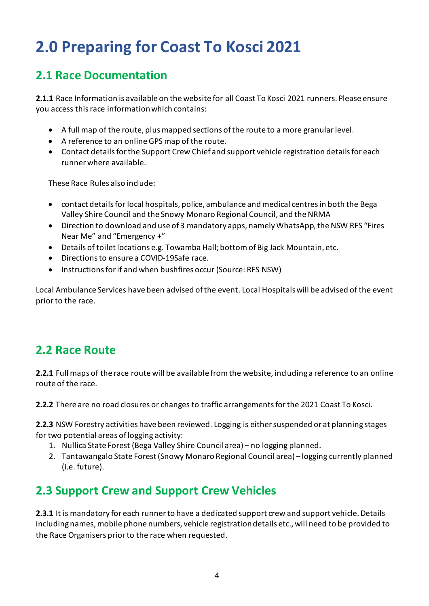# <span id="page-3-0"></span>**2.0 Preparing for Coast To Kosci 2021**

### <span id="page-3-1"></span>**2.1 Race Documentation**

**2.1.1** Race Information is available on the website for all Coast To Kosci 2021 runners. Please ensure you access this race information which contains:

- A full map of the route, plusmapped sections of the route to a more granular level.
- A reference to an online GPS map of the route.
- Contact details for the Support Crew Chief and support vehicle registration details for each runner where available.

These Race Rules also include:

- contact details for local hospitals, police, ambulance and medical centres in both the Bega Valley Shire Council and the Snowy Monaro Regional Council, and the NRMA
- Direction to download and use of 3 mandatory apps, namely WhatsApp, the NSW RFS "Fires Near Me" and "Emergency +"
- Details of toilet locations e.g. Towamba Hall; bottom of Big Jack Mountain, etc.
- Directions to ensure a COVID-19Safe race.
- Instructions for if and when bushfires occur (Source: RFS NSW)

Local Ambulance Services have been advised of the event. Local Hospitals will be advised of the event prior to the race.

### <span id="page-3-2"></span>**2.2 Race Route**

**2.2.1** Full maps of the race route will be available from the website, including a reference to an online route of the race.

**2.2.2** There are no road closures or changes to traffic arrangements for the 2021 Coast To Kosci.

**2.2.3** NSW Forestry activities have been reviewed. Logging is either suspended or at planning stages for two potential areas of logging activity:

- 1. Nullica State Forest (Bega Valley Shire Council area) no logging planned.
- 2. Tantawangalo State Forest (Snowy Monaro Regional Council area) logging currently planned (i.e. future).

### <span id="page-3-3"></span>**2.3 Support Crew and Support Crew Vehicles**

**2.3.1** It is mandatory for each runnerto have a dedicated support crew and support vehicle. Details including names, mobile phone numbers, vehicle registration details etc., will need to be provided to the Race Organisers prior to the race when requested.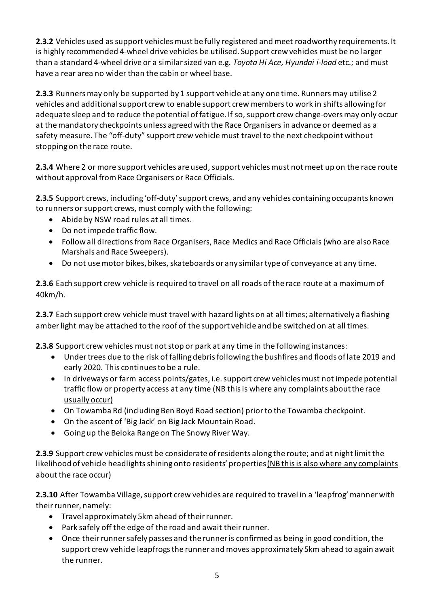**2.3.2** Vehicles used as support vehicles must be fully registered and meet roadworthy requirements. It is highly recommended 4-wheel drive vehicles be utilised. Support crew vehicles must be no larger than a standard 4-wheel drive or a similar sized van e.g. *Toyota Hi Ace, Hyundai i-load* etc.; and must have a rear area no wider than the cabin or wheel base.

**2.3.3** Runners may only be supported by 1 support vehicle at any one time. Runners may utilise 2 vehicles and additional support crew to enable support crew members to work in shifts allowing for adequate sleep and to reduce the potential of fatigue. If so, support crew change-overs may only occur at the mandatory checkpoints unless agreed with the Race Organisers in advance or deemed as a safety measure. The "off-duty" support crew vehicle must travel to the next checkpoint without stopping on the race route.

**2.3.4** Where 2 or more support vehicles are used, support vehicles must not meet up on the race route without approval from Race Organisers or Race Officials.

**2.3.5** Support crews, including 'off-duty' support crews, and any vehicles containing occupants known to runners or support crews, must comply with the following:

- Abide by NSW road rules at all times.
- Do not impede traffic flow.
- Follow all directions from Race Organisers, Race Medics and Race Officials (who are also Race Marshals and Race Sweepers).
- Do not use motor bikes, bikes, skateboards or any similar type of conveyance at any time.

**2.3.6** Each support crew vehicle is required to travel on all roads of the race route at a maximum of 40km/h.

**2.3.7** Each support crew vehiclemust travel with hazard lights on at all times; alternatively a flashing amber light may be attached to the roof of the support vehicle and be switched on at all times.

**2.3.8** Support crew vehicles must not stop or park at any time in the following instances:

- Under trees due to the risk of falling debris following the bushfires and floods of late 2019 and early 2020. This continues to be a rule.
- In driveways or farm access points/gates, i.e. support crew vehicles must not impede potential traffic flow or property access at any time (NB this is where any complaints about the race usually occur)
- On Towamba Rd (including Ben Boyd Road section) prior to the Towamba checkpoint.
- On the ascent of 'Big Jack' on Big Jack Mountain Road.
- Going up the Beloka Range on The Snowy River Way.

**2.3.9** Support crew vehicles must be considerate of residents along the route; and at night limit the likelihood of vehicle headlights shining onto residents' properties(NB this is also where any complaints about the race occur)

**2.3.10** After Towamba Village, support crew vehicles are required to travel in a 'leapfrog' manner with their runner, namely:

- Travel approximately 5km ahead of their runner.
- Park safely off the edge of the road and await their runner.
- Once their runner safely passes and the runner is confirmed as being in good condition, the support crew vehicle leapfrogs the runner and moves approximately 5km ahead to again await the runner.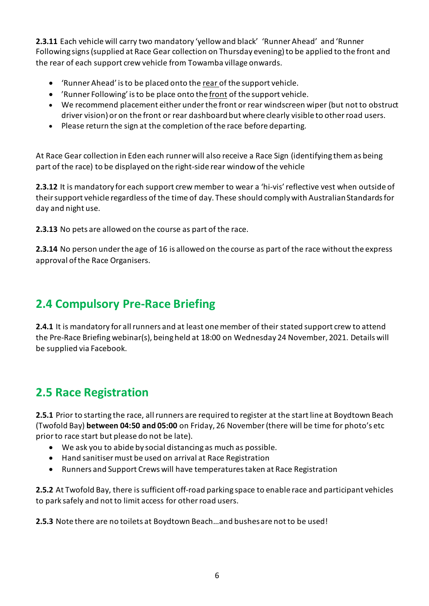**2.3.11** Each vehicle will carry two mandatory 'yellow and black' 'Runner Ahead' and 'Runner Following signs (supplied at Race Gear collection on Thursday evening) to be applied to the front and the rear of each support crew vehicle from Towamba village onwards.

- 'Runner Ahead' is to be placed onto the rear of the support vehicle.
- 'Runner Following' is to be place onto the front of the support vehicle.
- We recommend placement either under the front or rear windscreen wiper (but not to obstruct driver vision) or on the front or rear dashboard but where clearly visible to other road users.
- Please return the sign at the completion of the race before departing.

At Race Gear collection in Eden each runner will also receive a Race Sign (identifying them as being part of the race) to be displayed on the right-side rear window of the vehicle

**2.3.12** It is mandatory for each support crew member to wear a 'hi-vis' reflective vest when outside of their support vehicle regardless of the time of day. These should comply with Australian Standards for day and night use.

**2.3.13** No pets are allowed on the course as part of the race.

**2.3.14** No person under the age of 16 is allowed on the course as part of the race without the express approval of the Race Organisers.

### <span id="page-5-0"></span>**2.4 Compulsory Pre-Race Briefing**

**2.4.1** It is mandatory for all runners and at least one member of their stated support crew to attend the Pre-Race Briefing webinar(s), being held at 18:00 on Wednesday 24 November, 2021. Details will be supplied via Facebook.

#### <span id="page-5-1"></span>**2.5 Race Registration**

**2.5.1** Prior to starting the race, all runners are required to register at the start line at Boydtown Beach (Twofold Bay) **between 04:50 and 05:00** on Friday, 26 November (there will be time for photo's etc prior to race start but please do not be late).

- We ask you to abide by social distancing as much as possible.
- Hand sanitiser must be used on arrival at Race Registration
- Runners and Support Crews will have temperatures taken at Race Registration

**2.5.2** At Twofold Bay, there is sufficient off-road parking space to enable race and participant vehicles to park safely and not to limit access for other road users.

**2.5.3** Note there are no toilets at Boydtown Beach…and bushes are not to be used!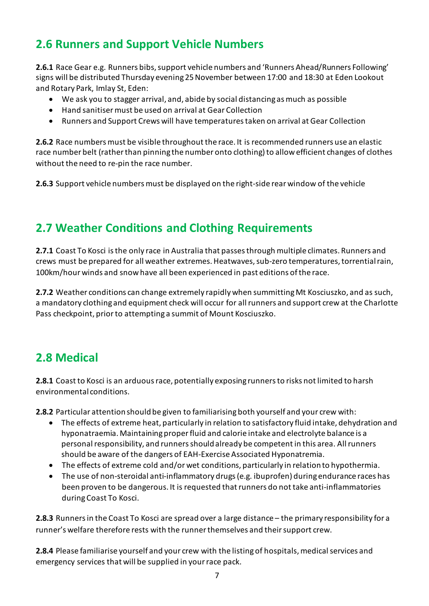### <span id="page-6-0"></span>**2.6 Runners and Support Vehicle Numbers**

**2.6.1** Race Gear e.g. Runners bibs, support vehicle numbers and 'Runners Ahead/Runners Following' signs will be distributed Thursday evening 25 November between 17:00 and 18:30 at Eden Lookout and Rotary Park, Imlay St, Eden:

- We ask you to stagger arrival, and, abide by social distancing as much as possible
- Hand sanitiser must be used on arrival at Gear Collection
- Runners and Support Crews will have temperatures taken on arrival at Gear Collection

**2.6.2** Race numbers must be visible throughout the race. It is recommended runners use an elastic race number belt (rather than pinning the number onto clothing) to allow efficient changes of clothes without the need to re-pin the race number.

**2.6.3** Support vehicle numbers must be displayed on the right-side rear window of the vehicle

### <span id="page-6-1"></span>**2.7 Weather Conditions and Clothing Requirements**

**2.7.1** Coast To Kosci is the only race in Australia that passes through multiple climates. Runners and crews must be prepared for all weather extremes. Heatwaves, sub-zero temperatures, torrential rain, 100km/hour winds and snow have all been experienced in past editions of the race.

**2.7.2** Weather conditions can change extremely rapidly when summitting Mt Kosciuszko, and as such, a mandatory clothing and equipment check will occur for all runners and support crew at the Charlotte Pass checkpoint, prior to attempting a summit of Mount Kosciuszko.

### <span id="page-6-2"></span>**2.8 Medical**

**2.8.1** Coast to Kosci is an arduous race, potentially exposing runners to risks not limited to harsh environmental conditions.

**2.8.2** Particular attention should be given to familiarising both yourself and your crew with:

- The effects of extreme heat, particularly in relation to satisfactory fluid intake, dehydration and hyponatraemia. Maintaining proper fluid and calorie intake and electrolyte balance is a personal responsibility, and runners should already be competent in this area. All runners should be aware of the dangers of EAH-Exercise Associated Hyponatremia.
- The effects of extreme cold and/or wet conditions, particularly in relation to hypothermia.
- The use of non-steroidal anti-inflammatory drugs (e.g. ibuprofen) during endurance races has been proven to be dangerous. It is requested that runners do not take anti-inflammatories during Coast To Kosci.

**2.8.3** Runners in the Coast To Kosci are spread over a large distance – the primary responsibility for a runner's welfare therefore rests with the runner themselves and their support crew.

**2.8.4** Please familiarise yourself and your crew with the listing of hospitals, medical services and emergency services that will be supplied in your race pack.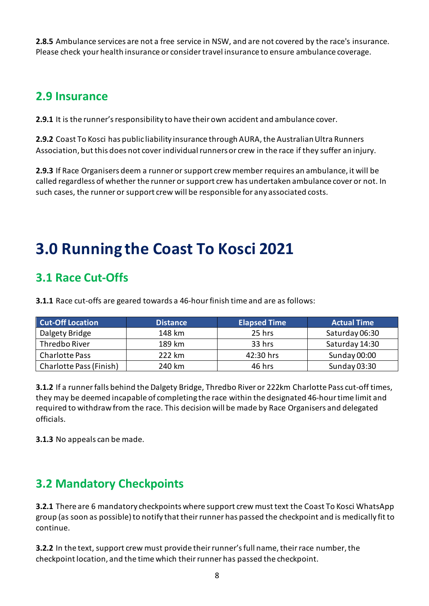**2.8.5** Ambulance services are not a free service in NSW, and are not covered by the race's insurance. Please check your health insurance or consider travel insurance to ensure ambulance coverage.

#### <span id="page-7-0"></span>**2.9 Insurance**

**2.9.1** It is the runner's responsibility to have their own accident and ambulance cover.

**2.9.2** Coast To Kosci has public liability insurance through AURA, the Australian Ultra Runners Association, but this does not cover individual runners or crew in the race if they suffer an injury.

<span id="page-7-1"></span>**2.9.3** If Race Organisers deem a runner or support crew member requires an ambulance, it will be called regardless of whether the runner or support crew has undertaken ambulance cover or not. In such cases, the runner or support crew will be responsible for any associated costs.

# **3.0 Running the Coast To Kosci 2021**

#### <span id="page-7-2"></span>**3.1 Race Cut-Offs**

**3.1.1** Race cut-offs are geared towards a 46-hour finish time and are as follows:

| <b>Cut-Off Location</b> | <b>Distance</b> | <b>Elapsed Time</b> | <b>Actual Time</b> |
|-------------------------|-----------------|---------------------|--------------------|
| Dalgety Bridge          | 148 km          | 25 hrs              | Saturday 06:30     |
| Thredbo River           | 189 km          | 33 hrs              | Saturday 14:30     |
| <b>Charlotte Pass</b>   | 222 km          | 42:30 hrs           | Sunday 00:00       |
| Charlotte Pass (Finish) | 240 km          | 46 hrs              | Sunday 03:30       |

**3.1.2** If a runner falls behind the Dalgety Bridge, Thredbo River or 222km Charlotte Pass cut-off times, they may be deemed incapable of completing the race within the designated 46-hour time limit and required to withdraw from the race. This decision will be made by Race Organisers and delegated officials.

**3.1.3** No appeals can be made.

### <span id="page-7-3"></span>**3.2 Mandatory Checkpoints**

**3.2.1** There are 6 mandatory checkpoints where support crew must text the Coast To Kosci WhatsApp group (as soon as possible) to notify that their runner has passed the checkpoint and is medically fit to continue.

**3.2.2** In the text, support crew must provide their runner's full name, their race number, the checkpoint location, and the time which their runner has passed the checkpoint.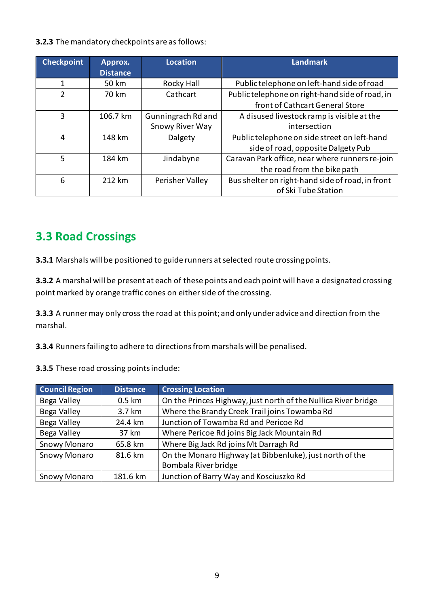#### **3.2.3** The mandatory checkpoints are as follows:

| <b>Checkpoint</b> | Approx.<br><b>Distance</b> | <b>Location</b>    | Landmark <sup>'</sup>                            |
|-------------------|----------------------------|--------------------|--------------------------------------------------|
|                   | 50 km                      | Rocky Hall         | Public telephone on left-hand side of road       |
| $\mathfrak{p}$    | 70 km                      | Cathcart           | Public telephone on right-hand side of road, in  |
|                   |                            |                    | front of Cathcart General Store                  |
| 3                 | 106.7 km                   | Gunningrach Rd and | A disused livestock ramp is visible at the       |
|                   |                            | Snowy River Way    | intersection                                     |
| 4                 | 148 km                     | Dalgety            | Public telephone on side street on left-hand     |
|                   |                            |                    | side of road, opposite Dalgety Pub               |
| 5                 | 184 km                     | Jindabyne          | Caravan Park office, near where runners re-join  |
|                   |                            |                    | the road from the bike path                      |
| 6                 | 212 km                     | Perisher Valley    | Bus shelter on right-hand side of road, in front |
|                   |                            |                    | of Ski Tube Station                              |

#### <span id="page-8-0"></span>**3.3 Road Crossings**

**3.3.1** Marshals will be positioned to guide runners at selected route crossing points.

**3.3.2** A marshal will be present at each of these points and each point will have a designated crossing point marked by orange traffic cones on either side of the crossing.

**3.3.3** A runner may only cross the road at this point; and only under advice and direction from the marshal.

**3.3.4** Runners failing to adhere to directions from marshals will be penalised.

**3.3.5** These road crossing points include:

| <b>Council Region</b> | <b>Distance</b>  | <b>Crossing Location</b>                                       |
|-----------------------|------------------|----------------------------------------------------------------|
| Bega Valley           | $0.5 \text{ km}$ | On the Princes Highway, just north of the Nullica River bridge |
| Bega Valley           | 3.7 km           | Where the Brandy Creek Trail joins Towamba Rd                  |
| Bega Valley           | 24.4 km          | Junction of Towamba Rd and Pericoe Rd                          |
| Bega Valley           | 37 km            | Where Pericoe Rd joins Big Jack Mountain Rd                    |
| <b>Snowy Monaro</b>   | 65.8 km          | Where Big Jack Rd joins Mt Darragh Rd                          |
| <b>Snowy Monaro</b>   | 81.6 km          | On the Monaro Highway (at Bibbenluke), just north of the       |
|                       |                  | Bombala River bridge                                           |
| <b>Snowy Monaro</b>   | 181.6 km         | Junction of Barry Way and Kosciuszko Rd                        |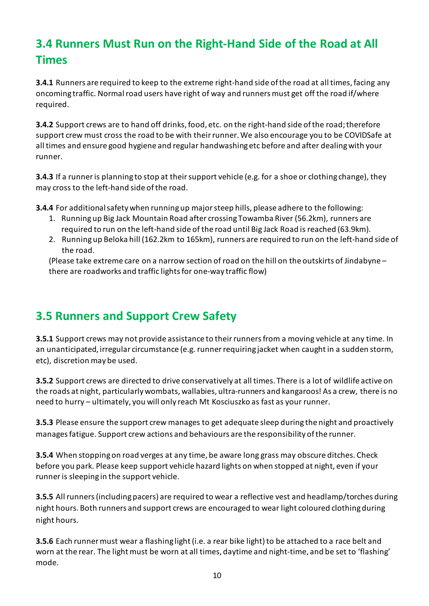### <span id="page-9-0"></span>**3.4 Runners Must Run on the Right-Hand Side of the Road at All Times**

**3.4.1** Runners are required to keep to the extreme right-hand side of the road at all times, facing any oncoming traffic. Normal road users have right of way and runners must get off the road if/where required.

**3.4.2** Support crews are to hand off drinks, food, etc. on the right-hand side of the road; therefore support crew must cross the road to be with their runner.We also encourage you to be COVIDSafe at all times and ensure good hygiene and regular handwashing etc before and after dealing with your runner.

**3.4.3** If a runner is planning to stop at their support vehicle (e.g. for a shoe or clothing change), they may cross to the left-hand side of the road.

**3.4.4** For additional safety when running up major steep hills, please adhere to the following:

- 1. Runningup Big Jack Mountain Road after crossing Towamba River (56.2km), runners are required to run on the left-hand side of the road until Big Jack Road is reached (63.9km).
- 2. Running up Beloka hill (162.2km to 165km), runners are required to run on the left-hand side of the road.

(Please take extreme care on a narrow section of road on the hill on the outskirts of Jindabyne – there are roadworks and traffic lights for one-way traffic flow)

### <span id="page-9-1"></span>**3.5 Runners and Support Crew Safety**

**3.5.1** Support crews may not provide assistance to their runners from a moving vehicle at any time. In an unanticipated, irregular circumstance (e.g. runner requiring jacket when caught in a sudden storm, etc), discretion may be used.

**3.5.2** Support crews are directed to drive conservatively at all times. There is a lot of wildlife active on the roads at night, particularly wombats, wallabies, ultra-runners and kangaroos! As a crew, there is no need to hurry – ultimately, you will only reach Mt Kosciuszko as fast as your runner.

**3.5.3** Please ensure the support crew manages to get adequate sleep during the night and proactively manages fatigue. Support crew actions and behaviours are the responsibility of the runner.

**3.5.4** When stopping on road verges at any time, be aware long grass may obscure ditches. Check before you park. Please keep support vehicle hazard lights on when stopped at night, even if your runner is sleeping in the support vehicle.

**3.5.5** All runners (including pacers) are required to wear a reflective vest and headlamp/torches during night hours. Both runners and support crews are encouraged to wear light coloured clothing during night hours.

**3.5.6** Each runner must wear a flashing light (i.e. a rear bike light) to be attached to a race belt and worn at the rear. The light must be worn at all times, daytime and night-time, and be set to 'flashing' mode.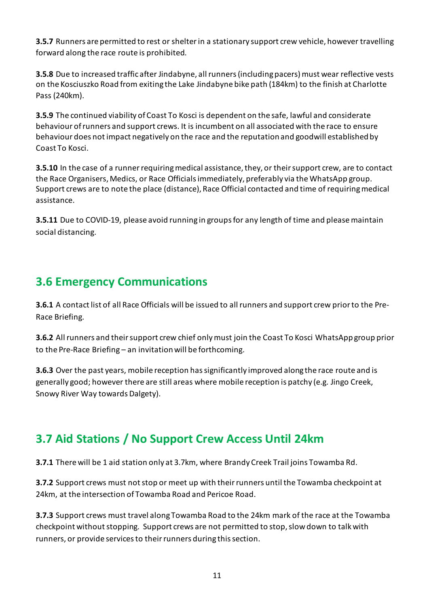**3.5.7** Runners are permitted to rest or shelter in a stationary support crew vehicle, however travelling forward along the race route is prohibited.

**3.5.8** Due to increased traffic after Jindabyne, all runners (including pacers) must wear reflective vests on the Kosciuszko Road from exiting the Lake Jindabyne bike path (184km) to the finish at Charlotte Pass (240km).

**3.5.9** The continued viability of Coast To Kosci is dependent on the safe, lawful and considerate behaviour of runners and support crews. It is incumbent on all associated with the race to ensure behaviour does not impact negatively on the race and the reputation and goodwill established by Coast To Kosci.

**3.5.10** In the case of a runner requiring medical assistance, they, or their support crew, are to contact the Race Organisers, Medics, or Race Officials immediately, preferably via the WhatsApp group. Support crews are to note the place (distance), Race Official contacted and time of requiring medical assistance.

**3.5.11** Due to COVID-19, please avoid running in groups for any length of time and please maintain social distancing.

#### <span id="page-10-0"></span>**3.6 Emergency Communications**

**3.6.1** A contact list of all Race Officials will be issued to all runners and support crew prior to the Pre-Race Briefing.

**3.6.2** All runners and their support crew chief only must join the Coast To Kosci WhatsApp group prior to the Pre-Race Briefing – an invitation will be forthcoming.

**3.6.3** Over the past years, mobile reception has significantly improved along the race route and is generally good; however there are still areas where mobile reception is patchy (e.g. Jingo Creek, Snowy River Way towards Dalgety).

### <span id="page-10-1"></span>**3.7 Aid Stations / No Support Crew Access Until 24km**

**3.7.1** There will be 1 aid station only at 3.7km, where Brandy Creek Trail joins Towamba Rd.

**3.7.2** Support crews must not stop or meet up with their runners until the Towamba checkpoint at 24km, at the intersection of Towamba Road and Pericoe Road.

**3.7.3** Support crews must travel along Towamba Road to the 24km mark of the race at the Towamba checkpoint without stopping. Support crews are not permitted to stop, slow down to talk with runners, or provide services to their runners during this section.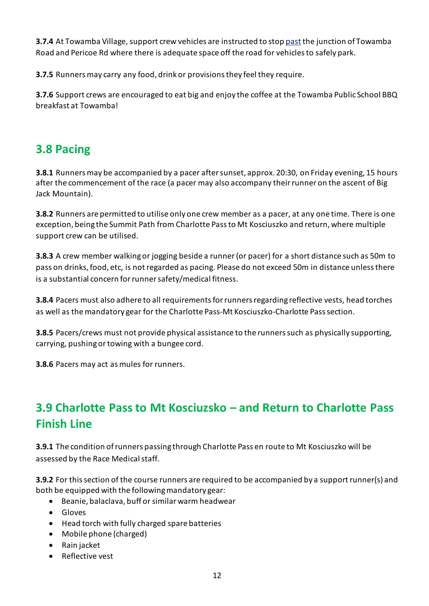**3.7.4** At Towamba Village, support crew vehicles are instructed to stop past the junction of Towamba Road and Pericoe Rd where there is adequate space off the road for vehicles to safely park.

**3.7.5** Runners may carry any food, drink or provisions they feel they require.

**3.7.6** Support crews are encouraged to eat big and enjoy the coffee at the Towamba Public School BBQ breakfast at Towamba!

#### <span id="page-11-0"></span>**3.8 Pacing**

**3.8.1** Runners may be accompanied by a pacer after sunset, approx. 20:30, on Friday evening, 15 hours after the commencement of the race (a pacer may also accompany their runner on the ascent of Big Jack Mountain).

**3.8.2** Runners are permitted to utilise only one crew member as a pacer, at any one time. There is one exception, being the Summit Path from Charlotte Pass to Mt Kosciuszko and return, where multiple support crew can be utilised.

**3.8.3** A crew member walking or jogging beside a runner (or pacer) for a short distance such as 50m to pass on drinks, food, etc, is not regarded as pacing. Please do not exceed 50m in distance unless there is a substantial concern for runner safety/medical fitness.

**3.8.4** Pacers must also adhere to all requirements for runners regarding reflective vests, head torches as well as the mandatory gear for the Charlotte Pass-Mt Kosciuszko-Charlotte Pass section.

**3.8.5** Pacers/crews must not provide physical assistance to the runners such as physically supporting, carrying, pushing or towing with a bungee cord.

**3.8.6** Pacers may act as mules for runners.

### <span id="page-11-1"></span>**3.9 Charlotte Pass to Mt Kosciuzsko – and Return to Charlotte Pass Finish Line**

**3.9.1** The condition of runners passing through Charlotte Pass en route to Mt Kosciuszko will be assessed by the Race Medical staff.

**3.9.2** For this section of the course runners are required to be accompanied by a support runner(s) and both be equipped with the following mandatory gear:

- Beanie, balaclava, buff or similar warm headwear
- Gloves
- Head torch with fully charged spare batteries
- Mobile phone (charged)
- Rain jacket
- Reflective vest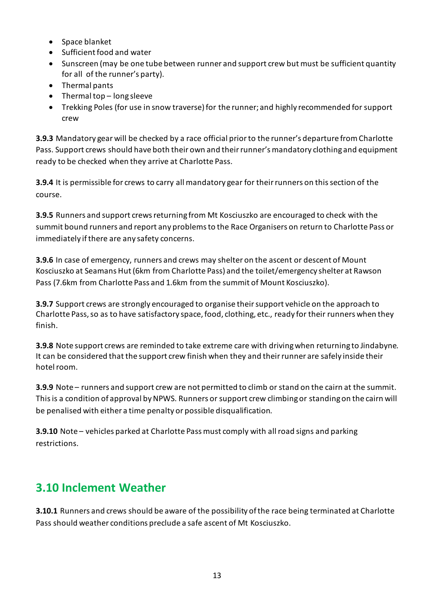- Space blanket
- Sufficient food and water
- Sunscreen (may be one tube between runner and support crew but must be sufficient quantity for all of the runner's party).
- Thermal pants
- Thermal top long sleeve
- Trekking Poles (for use in snow traverse) for the runner; and highly recommended for support crew

**3.9.3** Mandatory gear will be checked by a race official prior to the runner's departure from Charlotte Pass. Support crews should have both their own and their runner's mandatory clothing and equipment ready to be checked when they arrive at Charlotte Pass.

**3.9.4** It is permissible for crews to carry all mandatory gear for their runners on this section of the course.

**3.9.5** Runners and support crews returning from Mt Kosciuszko are encouraged to check with the summit bound runners and report any problems to the Race Organisers on return to Charlotte Pass or immediately if there are any safety concerns.

**3.9.6** In case of emergency, runners and crews may shelter on the ascent or descent of Mount Kosciuszko at Seamans Hut (6km from Charlotte Pass) and the toilet/emergency shelter at Rawson Pass (7.6km from Charlotte Pass and 1.6km from the summit of Mount Kosciuszko).

**3.9.7** Support crews are strongly encouraged to organise their support vehicle on the approach to Charlotte Pass, so as to have satisfactory space, food, clothing, etc., ready for their runners when they finish.

**3.9.8** Note support crews are reminded to take extreme care with driving when returning to Jindabyne. It can be considered that the support crew finish when they and their runner are safely inside their hotel room.

**3.9.9** Note – runners and support crew are not permitted to climb or stand on the cairn at the summit. This is a condition of approval by NPWS. Runners or support crew climbing or standing on the cairn will be penalised with either a time penalty or possible disqualification.

**3.9.10** Note – vehicles parked at Charlotte Pass must comply with all road signs and parking restrictions.

### <span id="page-12-0"></span>**3.10 Inclement Weather**

**3.10.1** Runners and crews should be aware of the possibility of the race being terminated at Charlotte Pass should weather conditions preclude a safe ascent of Mt Kosciuszko.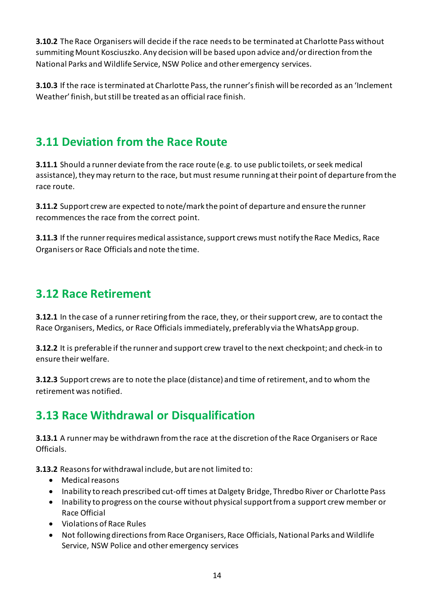**3.10.2** The Race Organisers will decide if the race needs to be terminated at Charlotte Pass without summiting Mount Kosciuszko. Any decision will be based upon advice and/or direction from the National Parks and Wildlife Service, NSW Police and other emergency services.

**3.10.3** If the race is terminated at Charlotte Pass, the runner's finish will be recorded as an 'Inclement Weather' finish, but still be treated as an official race finish.

### <span id="page-13-0"></span>**3.11 Deviation from the Race Route**

**3.11.1** Should a runner deviate from the race route (e.g. to use public toilets, or seek medical assistance), they may return to the race, but must resume running at their point of departure from the race route.

**3.11.2** Support crew are expected to note/mark the point of departure and ensure the runner recommences the race from the correct point.

**3.11.3** If the runner requires medical assistance, support crews must notify the Race Medics, Race Organisers or Race Officials and note the time.

### <span id="page-13-1"></span>**3.12 Race Retirement**

**3.12.1** In the case of a runner retiring from the race, they, or their support crew, are to contact the Race Organisers, Medics, or Race Officials immediately, preferably via the WhatsApp group.

**3.12.2** It is preferable if the runner and support crew travel to the next checkpoint; and check-in to ensure their welfare.

**3.12.3** Support crews are to note the place (distance) and time of retirement, and to whom the retirement was notified.

### <span id="page-13-2"></span>**3.13 Race Withdrawal or Disqualification**

**3.13.1** A runner may be withdrawn from the race at the discretion of the Race Organisers or Race Officials.

**3.13.2** Reasons for withdrawal include, but are not limited to:

- Medical reasons
- Inability to reach prescribed cut-off times at Dalgety Bridge, Thredbo River or Charlotte Pass
- Inability to progress on the course without physical support from a support crew member or Race Official
- Violations of Race Rules
- Not following directions from Race Organisers, Race Officials, National Parks and Wildlife Service, NSW Police and other emergency services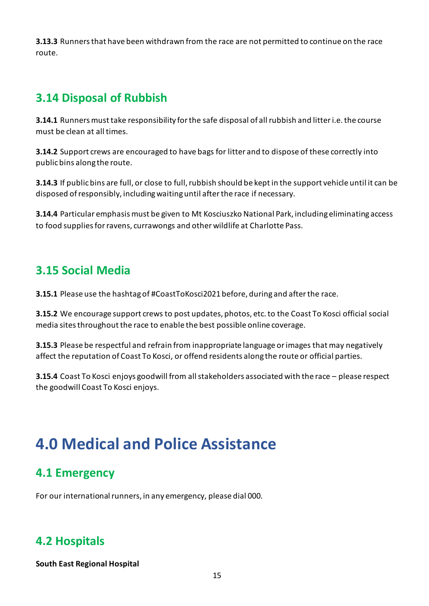**3.13.3** Runners that have been withdrawn from the race are not permitted to continue on the race route.

### <span id="page-14-0"></span>**3.14 Disposal of Rubbish**

**3.14.1** Runners must take responsibility for the safe disposal of all rubbish and litter i.e. the course must be clean at all times.

**3.14.2** Support crews are encouraged to have bags for litter and to dispose of these correctly into public bins along the route.

**3.14.3** If public bins are full, or close to full, rubbish should be kept in the support vehicle until it can be disposed of responsibly, including waiting until after the race if necessary.

**3.14.4** Particular emphasis must be given to Mt Kosciuszko National Park, including eliminating access to food supplies for ravens, currawongs and other wildlife at Charlotte Pass.

#### <span id="page-14-1"></span>**3.15 Social Media**

**3.15.1** Please use the hashtag of #CoastToKosci2021 before, during and after the race.

**3.15.2** We encourage support crews to post updates, photos, etc. to the Coast To Kosci official social media sites throughout the race to enable the best possible online coverage.

**3.15.3** Please be respectful and refrain from inappropriate language or images that may negatively affect the reputation of Coast To Kosci, or offend residents along the route or official parties.

<span id="page-14-2"></span>**3.15.4** Coast To Kosci enjoys goodwill from all stakeholders associated with the race – please respect the goodwill Coast To Kosci enjoys.

## **4.0 Medical and Police Assistance**

#### <span id="page-14-3"></span>**4.1 Emergency**

For our international runners, in any emergency, please dial 000.

#### <span id="page-14-4"></span>**4.2 Hospitals**

#### **South East Regional Hospital**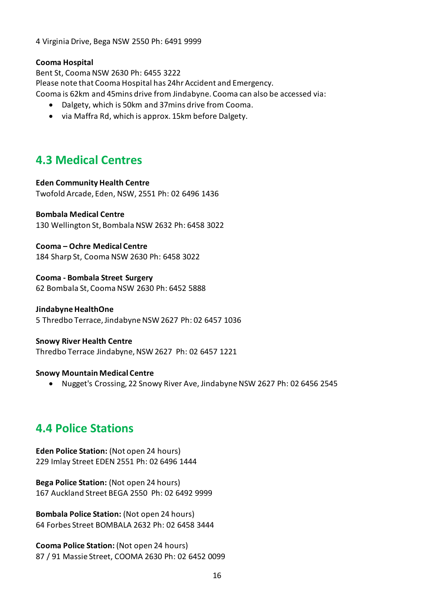4 Virginia Drive, Bega NSW 2550 Ph: 6491 9999

#### **Cooma Hospital**

Bent St, Cooma NSW 2630 Ph: 6455 3222 Please note that Cooma Hospital has 24hr Accident and Emergency. Cooma is 62km and 45mins drive from Jindabyne. Cooma can also be accessed via:

- Dalgety, which is 50km and 37mins drive from Cooma.
- via Maffra Rd, which is approx. 15km before Dalgety.

#### <span id="page-15-0"></span>**4.3 Medical Centres**

#### **Eden Community Health Centre**

Twofold Arcade, Eden, NSW, 2551 Ph: 02 6496 1436

#### **Bombala Medical Centre**

130 Wellington St, Bombala NSW 2632 Ph: 6458 3022

**Cooma – Ochre Medical Centre** 184 Sharp St, Cooma NSW 2630 Ph: 6458 3022

**Cooma - Bombala Street Surgery** 62 Bombala St, Cooma NSW 2630 Ph: 6452 5888

#### **Jindabyne HealthOne**

5 Thredbo Terrace, Jindabyne NSW 2627 Ph: 02 6457 1036

#### **Snowy River Health Centre**

Thredbo Terrace Jindabyne, NSW 2627 Ph: 02 6457 1221

#### **Snowy Mountain Medical Centre**

• Nugget's Crossing, 22 Snowy River Ave, Jindabyne NSW 2627 Ph: 02 6456 2545

#### <span id="page-15-1"></span>**4.4 Police Stations**

**Eden Police Station:** (Not open 24 hours) 229 Imlay Street EDEN 2551 Ph: 02 6496 1444

**Bega Police Station:** (Not open 24 hours) 167 Auckland Street BEGA 2550 Ph: 02 6492 9999

**Bombala Police Station:** (Not open 24 hours) 64 Forbes Street BOMBALA 2632 Ph: 02 6458 3444

**Cooma Police Station:** (Not open 24 hours) 87 / 91 Massie Street, COOMA 2630 Ph: 02 6452 0099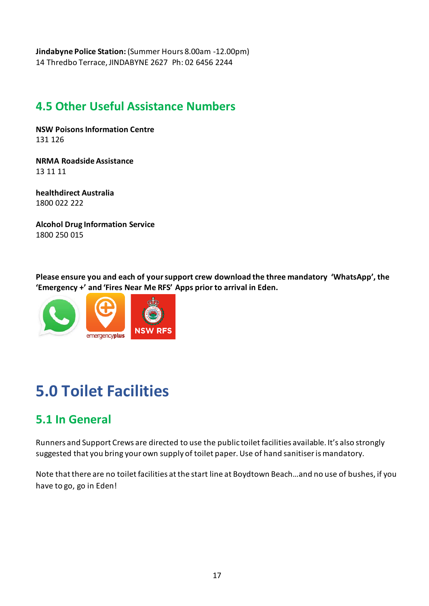**Jindabyne Police Station:** (Summer Hours 8.00am -12.00pm) 14 Thredbo Terrace, JINDABYNE 2627 Ph: 02 6456 2244

### <span id="page-16-0"></span>**4.5 Other Useful Assistance Numbers**

**[NSW Poisons Information Centre](https://www.poisonsinfo.nsw.gov.au/)** 131 126

**NRMA Roadside Assistance** 13 11 11

**[healthdirect Australia](http://www.healthdirect.org.au/health-information-services/24-hour-health-advice-line)** 1800 022 222

**[Alcohol Drug Information Service](https://yourroom.health.nsw.gov.au/getting-help/Pages/adis.aspx)** 1800 250 015

**Please ensure you and each of your support crew download the three mandatory 'WhatsApp', the 'Emergency +' and 'Fires Near Me RFS' Apps prior to arrival in Eden.**



# <span id="page-16-1"></span>**5.0 Toilet Facilities**

### <span id="page-16-2"></span>**5.1 In General**

Runners and Support Crews are directed to use the public toilet facilities available. It's also strongly suggested that you bring your own supply of toilet paper. Use of hand sanitiser is mandatory.

Note that there are no toilet facilities at the start line at Boydtown Beach…and no use of bushes, if you have to go, go in Eden!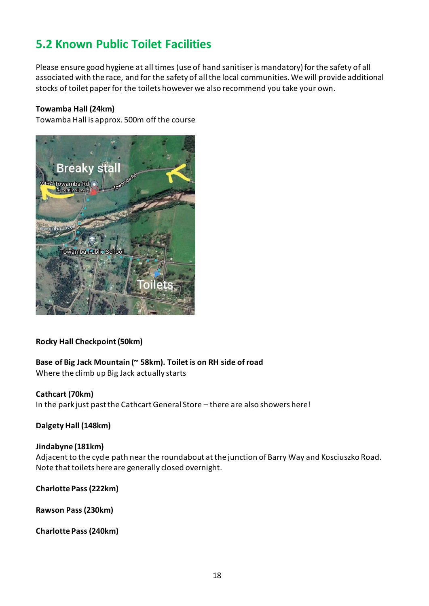#### <span id="page-17-0"></span>**5.2 Known Public Toilet Facilities**

Please ensure good hygiene at all times (use of hand sanitiser is mandatory) for the safety of all associated with the race, and for the safety of all the local communities. We will provide additional stocks of toilet paper for the toilets however we also recommend you take your own.

#### **Towamba Hall (24km)**

Towamba Hall is approx. 500m off the course



#### **Rocky Hall Checkpoint (50km)**

### **Base of Big Jack Mountain (~ 58km). Toilet is on RH side of road**

Where the climb up Big Jack actually starts

#### **Cathcart (70km)**

In the park just past the Cathcart General Store - there are also showers here!

#### **Dalgety Hall (148km)**

#### **Jindabyne (181km)**

Adjacent to the cycle path near the roundabout at the junction of Barry Way and Kosciuszko Road. Note that toilets here are generally closed overnight.

#### **Charlotte Pass (222km)**

**Rawson Pass (230km)**

#### **Charlotte Pass (240km)**